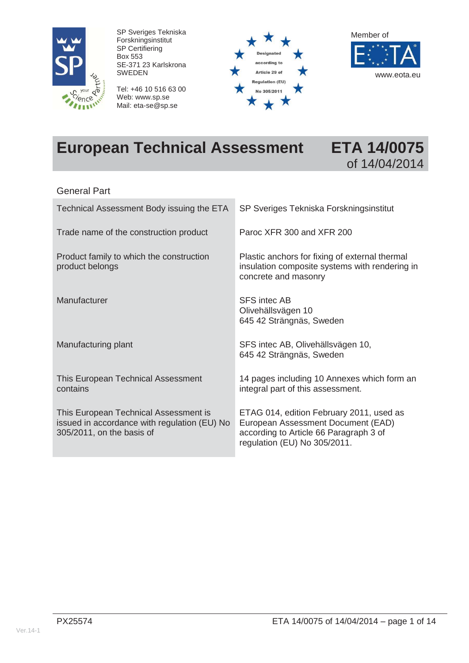

SP Sveriges Tekniska Forskningsinstitut SP Certifiering Box 553 SE-371 23 Karlskrona SWEDEN

Tel: +46 10 516 63 00 Web: www.sp.se Mail: eta-se@sp.se





# **European Technical Assessment ETA 14/0075**



#### General Part

| Technical Assessment Body issuing the ETA                                                                          | SP Sveriges Tekniska Forskningsinstitut                                                                                                                  |
|--------------------------------------------------------------------------------------------------------------------|----------------------------------------------------------------------------------------------------------------------------------------------------------|
| Trade name of the construction product                                                                             | Paroc XFR 300 and XFR 200                                                                                                                                |
| Product family to which the construction<br>product belongs                                                        | Plastic anchors for fixing of external thermal<br>insulation composite systems with rendering in<br>concrete and masonry                                 |
| Manufacturer                                                                                                       | <b>SFS</b> intec AB<br>Olivehällsvägen 10<br>645 42 Strängnäs, Sweden                                                                                    |
| Manufacturing plant                                                                                                | SFS intec AB, Olivehällsvägen 10,<br>645 42 Strängnäs, Sweden                                                                                            |
| This European Technical Assessment<br>contains                                                                     | 14 pages including 10 Annexes which form an<br>integral part of this assessment.                                                                         |
| This European Technical Assessment is<br>issued in accordance with regulation (EU) No<br>305/2011, on the basis of | ETAG 014, edition February 2011, used as<br>European Assessment Document (EAD)<br>according to Article 66 Paragraph 3 of<br>regulation (EU) No 305/2011. |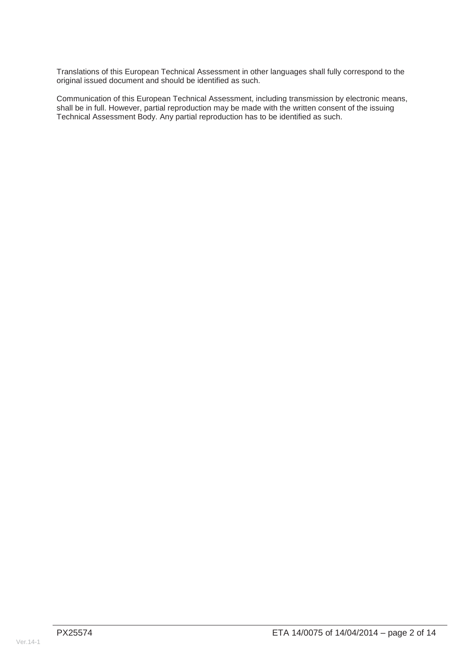Translations of this European Technical Assessment in other languages shall fully correspond to the original issued document and should be identified as such.

Communication of this European Technical Assessment, including transmission by electronic means, shall be in full. However, partial reproduction may be made with the written consent of the issuing Technical Assessment Body. Any partial reproduction has to be identified as such.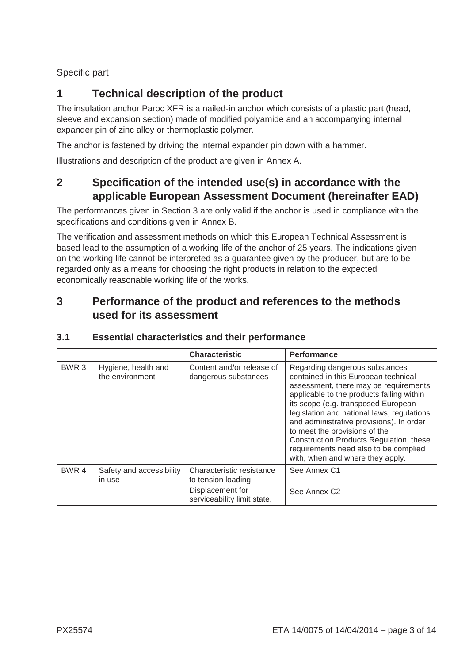Specific part

## **1 Technical description of the product**

The insulation anchor Paroc XFR is a nailed-in anchor which consists of a plastic part (head, sleeve and expansion section) made of modified polyamide and an accompanying internal expander pin of zinc alloy or thermoplastic polymer.

The anchor is fastened by driving the internal expander pin down with a hammer.

Illustrations and description of the product are given in Annex A.

## **2 Specification of the intended use(s) in accordance with the applicable European Assessment Document (hereinafter EAD)**

The performances given in Section 3 are only valid if the anchor is used in compliance with the specifications and conditions given in Annex B.

The verification and assessment methods on which this European Technical Assessment is based lead to the assumption of a working life of the anchor of 25 years. The indications given on the working life cannot be interpreted as a guarantee given by the producer, but are to be regarded only as a means for choosing the right products in relation to the expected economically reasonable working life of the works.

## **3 Performance of the product and references to the methods used for its assessment**

|                  |                                        | <b>Characteristic</b>                                                                               | <b>Performance</b>                                                                                                                                                                                                                                                                                                                                                                                                                                     |
|------------------|----------------------------------------|-----------------------------------------------------------------------------------------------------|--------------------------------------------------------------------------------------------------------------------------------------------------------------------------------------------------------------------------------------------------------------------------------------------------------------------------------------------------------------------------------------------------------------------------------------------------------|
| BWR <sub>3</sub> | Hygiene, health and<br>the environment | Content and/or release of<br>dangerous substances                                                   | Regarding dangerous substances<br>contained in this European technical<br>assessment, there may be requirements<br>applicable to the products falling within<br>its scope (e.g. transposed European<br>legislation and national laws, regulations<br>and administrative provisions). In order<br>to meet the provisions of the<br>Construction Products Regulation, these<br>requirements need also to be complied<br>with, when and where they apply. |
| BWR <sub>4</sub> | Safety and accessibility<br>in use     | Characteristic resistance<br>to tension loading.<br>Displacement for<br>serviceability limit state. | See Annex C1<br>See Annex C <sub>2</sub>                                                                                                                                                                                                                                                                                                                                                                                                               |

## **3.1 Essential characteristics and their performance**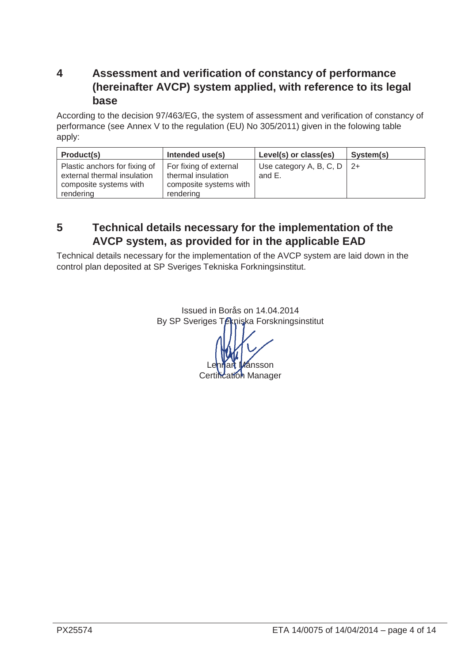## **4 Assessment and verification of constancy of performance (hereinafter AVCP) system applied, with reference to its legal base**

According to the decision 97/463/EG, the system of assessment and verification of constancy of performance (see Annex V to the regulation (EU) No 305/2011) given in the folowing table apply:

| Product(s)                                                                                          | Intended use(s)                                                                     | Level(s) or class(es)                    | System(s) |
|-----------------------------------------------------------------------------------------------------|-------------------------------------------------------------------------------------|------------------------------------------|-----------|
| Plastic anchors for fixing of<br>external thermal insulation<br>composite systems with<br>rendering | For fixing of external<br>thermal insulation<br>composite systems with<br>rendering | Use category A, B, C, D   $2+$<br>and E. |           |

## **5 Technical details necessary for the implementation of the AVCP system, as provided for in the applicable EAD**

Technical details necessary for the implementation of the AVCP system are laid down in the control plan deposited at SP Sveriges Tekniska Forkningsinstitut.

> Issued in Borås on 14.04.2014 By SP Sveriges Tekniska Forskningsinstitut nsson Certification Manager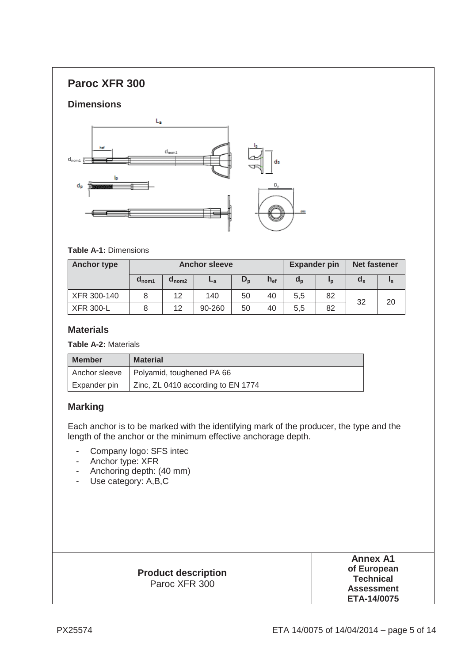## **Paroc XFR 300**

## **Dimensions**



#### **Table A-1:** Dimensions

| <b>Anchor type</b> | <b>Anchor sleeve</b> |                            |        |         | <b>Expander pin</b> |         | <b>Net fastener</b> |       |    |
|--------------------|----------------------|----------------------------|--------|---------|---------------------|---------|---------------------|-------|----|
|                    | $a_{\text{nom1}}$    | $\mathbf{a}_{\text{nom2}}$ | $-a$   | $D_{p}$ | $h_{\text{ef}}$     | $a_{p}$ | <u>In</u>           | $a_s$ | ιs |
| XFR 300-140        |                      | 12                         | 140    | 50      | 40                  | 5,5     | 82                  | 32    | 20 |
| <b>XFR 300-L</b>   |                      | 12                         | 90-260 | 50      | 40                  | 5,5     | 82                  |       |    |

## **Materials**

**Table A-2:** Materials

| <b>Member</b> | <b>Material</b>                           |
|---------------|-------------------------------------------|
|               | Anchor sleeve   Polyamid, toughened PA 66 |
| Expander pin  | Zinc, ZL 0410 according to EN 1774        |

## **Marking**

Each anchor is to be marked with the identifying mark of the producer, the type and the length of the anchor or the minimum effective anchorage depth.

- Company logo: SFS intec
- Anchor type: XFR
- Anchoring depth: (40 mm)
- Use category: A,B,C

| <b>Product description</b><br>Paroc XFR 300 | <b>Annex A1</b><br>of European<br><b>Technical</b><br><b>Assessment</b><br>ETA-14/0075 |
|---------------------------------------------|----------------------------------------------------------------------------------------|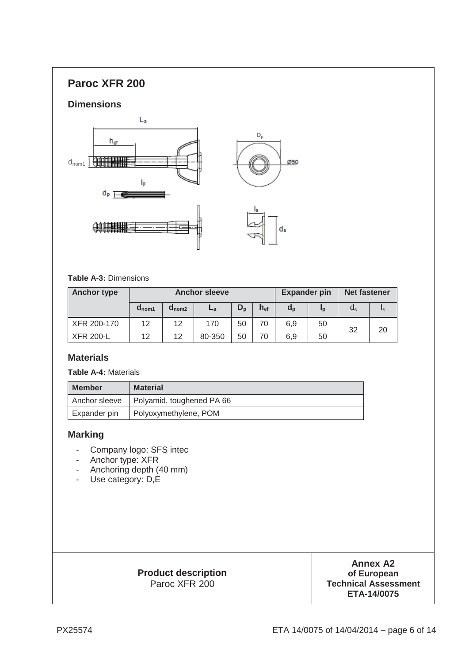## **Paroc XFR 200**

#### **Dimensions**



#### **Table A-3:** Dimensions

| <b>Anchor type</b> | <b>Anchor sleeve</b> |                   |        |         | <b>Expander pin</b> |         | <b>Net fastener</b> |                  |    |
|--------------------|----------------------|-------------------|--------|---------|---------------------|---------|---------------------|------------------|----|
|                    | $d_{\text{nom1}}$    | $d_{\text{nom2}}$ | ∟а     | $D_{n}$ | $h_{\text{ef}}$     | $d_{p}$ | <u>In</u>           | $\alpha_{\rm s}$ | Ιs |
| XFR 200-170        | 12                   | 12                | 170    | 50      | 70                  | 6,9     | 50                  | 32               | 20 |
| <b>XFR 200-L</b>   | 12                   | 12                | 80-350 | 50      | 70                  | 6.9     | 50                  |                  |    |

#### **Materials**

#### **Table A-4:** Materials

| <b>Member</b> | <b>Material</b>           |
|---------------|---------------------------|
| Anchor sleeve | Polyamid, toughened PA 66 |
| Expander pin  | Polyoxymethylene, POM     |

#### **Marking**

- Company logo: SFS intec
- Anchor type: XFR
- Anchoring depth (40 mm)
- Use category: D,E

## **Product description** Paroc XFR 200

**Annex A2 of European Technical Assessment ETA-14/0075**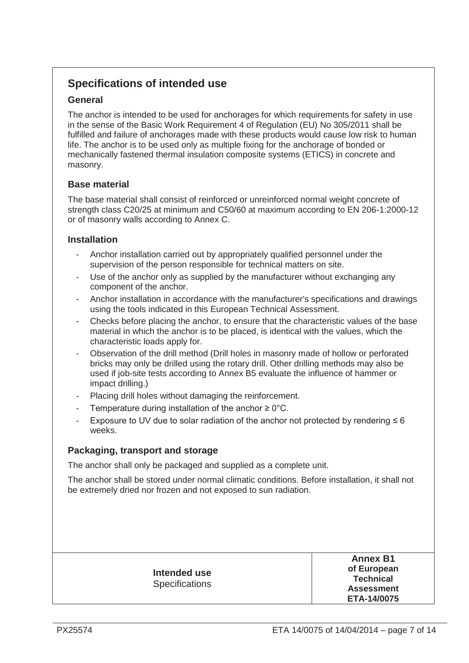## **Specifications of intended use**

## **General**

The anchor is intended to be used for anchorages for which requirements for safety in use in the sense of the Basic Work Requirement 4 of Regulation (EU) No 305/2011 shall be fulfilled and failure of anchorages made with these products would cause low risk to human life. The anchor is to be used only as multiple fixing for the anchorage of bonded or mechanically fastened thermal insulation composite systems (ETICS) in concrete and masonry.

## **Base material**

The base material shall consist of reinforced or unreinforced normal weight concrete of strength class C20/25 at minimum and C50/60 at maximum according to EN 206-1:2000-12 or of masonry walls according to Annex C.

## **Installation**

- Anchor installation carried out by appropriately qualified personnel under the supervision of the person responsible for technical matters on site.
- Use of the anchor only as supplied by the manufacturer without exchanging any component of the anchor.
- Anchor installation in accordance with the manufacturer's specifications and drawings using the tools indicated in this European Technical Assessment.
- Checks before placing the anchor, to ensure that the characteristic values of the base material in which the anchor is to be placed, is identical with the values, which the characteristic loads apply for.
- Observation of the drill method (Drill holes in masonry made of hollow or perforated bricks may only be drilled using the rotary drill. Other drilling methods may also be used if job-site tests according to Annex B5 evaluate the influence of hammer or impact drilling.)
- Placing drill holes without damaging the reinforcement.
- Temperature during installation of the anchor  $\geq 0^{\circ}$ C.
- Exposure to UV due to solar radiation of the anchor not protected by rendering  $\leq 6$ weeks.

## **Packaging, transport and storage**

The anchor shall only be packaged and supplied as a complete unit.

The anchor shall be stored under normal climatic conditions. Before installation, it shall not be extremely dried nor frozen and not exposed to sun radiation.

| Intended use<br><b>Specifications</b> | <b>Annex B1</b><br>of European<br><b>Technical</b><br><b>Assessment</b><br>ETA-14/0075 |
|---------------------------------------|----------------------------------------------------------------------------------------|
|---------------------------------------|----------------------------------------------------------------------------------------|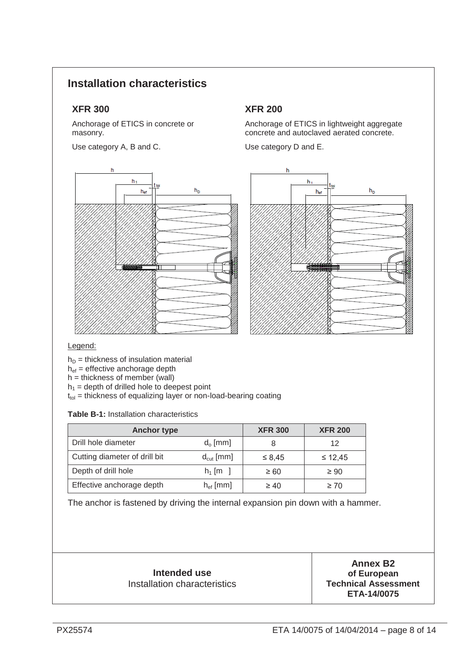## **Installation characteristics**

## **XFR 300 XFR 200**

Anchorage of ETICS in concrete or masonry.

Use category A, B and C.



Anchorage of ETICS in lightweight aggregate concrete and autoclaved aerated concrete.

Use category D and E.



#### Legend:

 $h_D$  = thickness of insulation material

 $h_{\text{ef}}$  = effective anchorage depth

h = thickness of member (wall)

 $h_1$  = depth of drilled hole to deepest point

 $t_{\text{tol}}$  = thickness of equalizing layer or non-load-bearing coating

**Table B-1:** Installation characteristics

| <b>Anchor type</b>            |                       | <b>XFR 300</b> | <b>XFR 200</b> |
|-------------------------------|-----------------------|----------------|----------------|
| Drill hole diameter           | $d_0$ [mm]            |                | 12             |
| Cutting diameter of drill bit | $d_{\text{cut}}$ [mm] | $\leq 8,45$    | $\leq 12,45$   |
| Depth of drill hole           | $h_1$ [m ]            | $\geq 60$      | $\geq 90$      |
| Effective anchorage depth     | $h_{\text{ef}}$ [mm]  | $\geq 40$      | $\geq 70$      |

The anchor is fastened by driving the internal expansion pin down with a hammer.

| Intended use                        |
|-------------------------------------|
| <b>Installation characteristics</b> |

**Annex B2 of European Technical Assessment ETA-14/0075**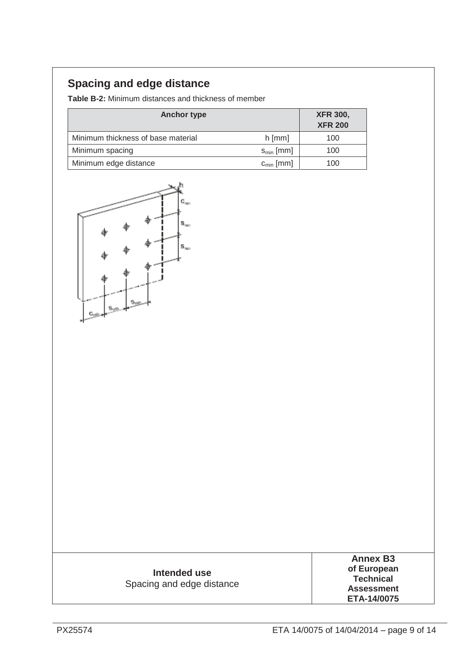# **Spacing and edge distance**

**Table B-2:** Minimum distances and thickness of member

| <b>Anchor type</b>                 |                 | <b>XFR 300,</b><br><b>XFR 200</b> |
|------------------------------------|-----------------|-----------------------------------|
| Minimum thickness of base material | $h$ [mm]        | 100                               |
| Minimum spacing                    | $s_{\min}$ [mm] | 100                               |
| Minimum edge distance              | $c_{\min}$ [mm] | 100                               |



| Intended use<br>Spacing and edge distance | <b>Annex B3</b><br>of European<br><b>Technical</b><br><b>Assessment</b><br>ETA-14/0075 |
|-------------------------------------------|----------------------------------------------------------------------------------------|
|-------------------------------------------|----------------------------------------------------------------------------------------|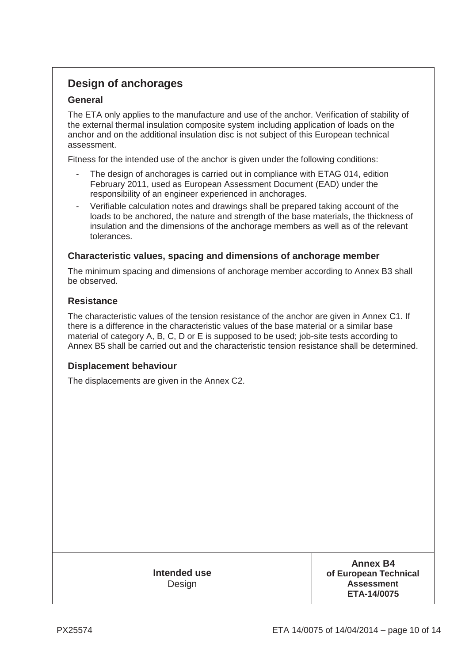## **Design of anchorages**

## **General**

The ETA only applies to the manufacture and use of the anchor. Verification of stability of the external thermal insulation composite system including application of loads on the anchor and on the additional insulation disc is not subject of this European technical assessment.

Fitness for the intended use of the anchor is given under the following conditions:

- The design of anchorages is carried out in compliance with ETAG 014, edition February 2011, used as European Assessment Document (EAD) under the responsibility of an engineer experienced in anchorages.
- Verifiable calculation notes and drawings shall be prepared taking account of the loads to be anchored, the nature and strength of the base materials, the thickness of insulation and the dimensions of the anchorage members as well as of the relevant tolerances.

## **Characteristic values, spacing and dimensions of anchorage member**

The minimum spacing and dimensions of anchorage member according to Annex B3 shall be observed.

#### **Resistance**

The characteristic values of the tension resistance of the anchor are given in Annex C1. If there is a difference in the characteristic values of the base material or a similar base material of category A, B, C, D or E is supposed to be used; job-site tests according to Annex B5 shall be carried out and the characteristic tension resistance shall be determined.

## **Displacement behaviour**

The displacements are given in the Annex C2.

**Intended use Design** 

**Annex B4 of European Technical Assessment ETA-14/0075**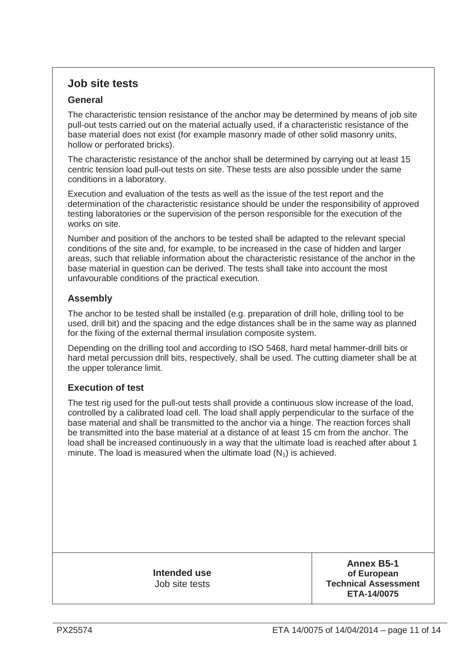## **Job site tests**

## **General**

The characteristic tension resistance of the anchor may be determined by means of job site pull-out tests carried out on the material actually used, if a characteristic resistance of the base material does not exist (for example masonry made of other solid masonry units, hollow or perforated bricks).

The characteristic resistance of the anchor shall be determined by carrying out at least 15 centric tension load pull-out tests on site. These tests are also possible under the same conditions in a laboratory.

Execution and evaluation of the tests as well as the issue of the test report and the determination of the characteristic resistance should be under the responsibility of approved testing laboratories or the supervision of the person responsible for the execution of the works on site.

Number and position of the anchors to be tested shall be adapted to the relevant special conditions of the site and, for example, to be increased in the case of hidden and larger areas, such that reliable information about the characteristic resistance of the anchor in the base material in question can be derived. The tests shall take into account the most unfavourable conditions of the practical execution.

## **Assembly**

The anchor to be tested shall be installed (e.g. preparation of drill hole, drilling tool to be used, drill bit) and the spacing and the edge distances shall be in the same way as planned for the fixing of the external thermal insulation composite system.

Depending on the drilling tool and according to ISO 5468, hard metal hammer-drill bits or hard metal percussion drill bits, respectively, shall be used. The cutting diameter shall be at the upper tolerance limit.

## **Execution of test**

The test rig used for the pull-out tests shall provide a continuous slow increase of the load, controlled by a calibrated load cell. The load shall apply perpendicular to the surface of the base material and shall be transmitted to the anchor via a hinge. The reaction forces shall be transmitted into the base material at a distance of at least 15 cm from the anchor. The load shall be increased continuously in a way that the ultimate load is reached after about 1 minute. The load is measured when the ultimate load  $(N_1)$  is achieved.

> **Intended use**  Job site tests

**Annex B5-1 of European Technical Assessment ETA-14/0075**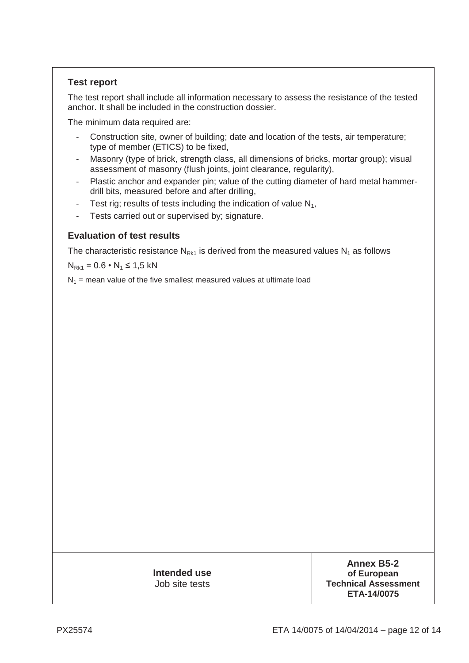## **Test report**

The test report shall include all information necessary to assess the resistance of the tested anchor. It shall be included in the construction dossier.

The minimum data required are:

- Construction site, owner of building; date and location of the tests, air temperature; type of member (ETICS) to be fixed,
- Masonry (type of brick, strength class, all dimensions of bricks, mortar group); visual assessment of masonry (flush joints, joint clearance, regularity),
- Plastic anchor and expander pin; value of the cutting diameter of hard metal hammerdrill bits, measured before and after drilling,
- Test rig; results of tests including the indication of value  $N_1$ ,
- Tests carried out or supervised by; signature.

#### **Evaluation of test results**

The characteristic resistance  $N_{Rk1}$  is derived from the measured values  $N_1$  as follows

 $N_{Rk1} = 0.6 \cdot N_1 \le 1.5$  kN

 $N_1$  = mean value of the five smallest measured values at ultimate load

**Intended use**  Job site tests

**Annex B5-2 of European Technical Assessment ETA-14/0075**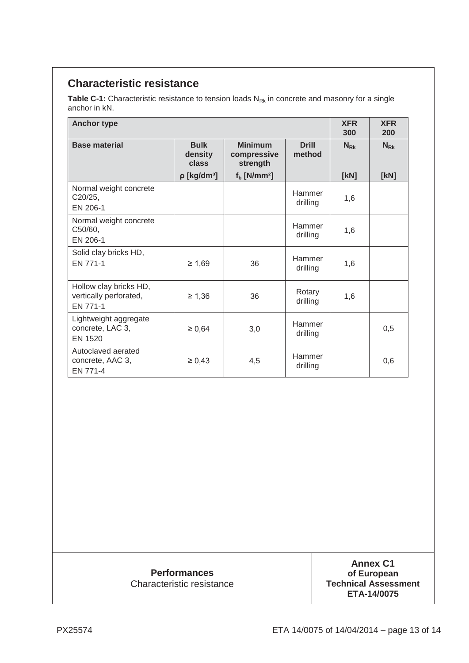## **Characteristic resistance**

Table C-1: Characteristic resistance to tension loads N<sub>Rk</sub> in concrete and masonry for a single anchor in kN.

| <b>Anchor type</b>                                           |                                 |                                           |                           | <b>XFR</b><br>300 | <b>XFR</b><br>200 |
|--------------------------------------------------------------|---------------------------------|-------------------------------------------|---------------------------|-------------------|-------------------|
| <b>Base material</b>                                         | <b>Bulk</b><br>density<br>class | <b>Minimum</b><br>compressive<br>strength | <b>Drill</b><br>method    | $N_{\rm Rk}$      | $N_{\rm Rk}$      |
|                                                              | $\rho$ [kg/dm <sup>3</sup> ]    | $fb$ [N/mm <sup>2</sup> ]                 |                           | [KN]              | [KN]              |
| Normal weight concrete<br>C20/25,<br>EN 206-1                |                                 |                                           | Hammer<br>drilling        | 1,6               |                   |
| Normal weight concrete<br>C50/60,<br>EN 206-1                |                                 |                                           | Hammer<br>drilling        | 1,6               |                   |
| Solid clay bricks HD,<br>EN 771-1                            | $\geq 1,69$                     | 36                                        | <b>Hammer</b><br>drilling | 1,6               |                   |
| Hollow clay bricks HD,<br>vertically perforated,<br>EN 771-1 | $\geq 1,36$                     | 36                                        | Rotary<br>drilling        | 1,6               |                   |
| Lightweight aggregate<br>concrete, LAC 3,<br>EN 1520         | $\geq 0,64$                     | 3,0                                       | Hammer<br>drilling        |                   | 0,5               |
| Autoclaved aerated<br>concrete, AAC 3,<br>EN 771-4           | $\ge 0,43$                      | 4,5                                       | Hammer<br>drilling        |                   | 0,6               |

# **Performances**

Characteristic resistance

**Annex C1 of European Technical Assessment ETA-14/0075**